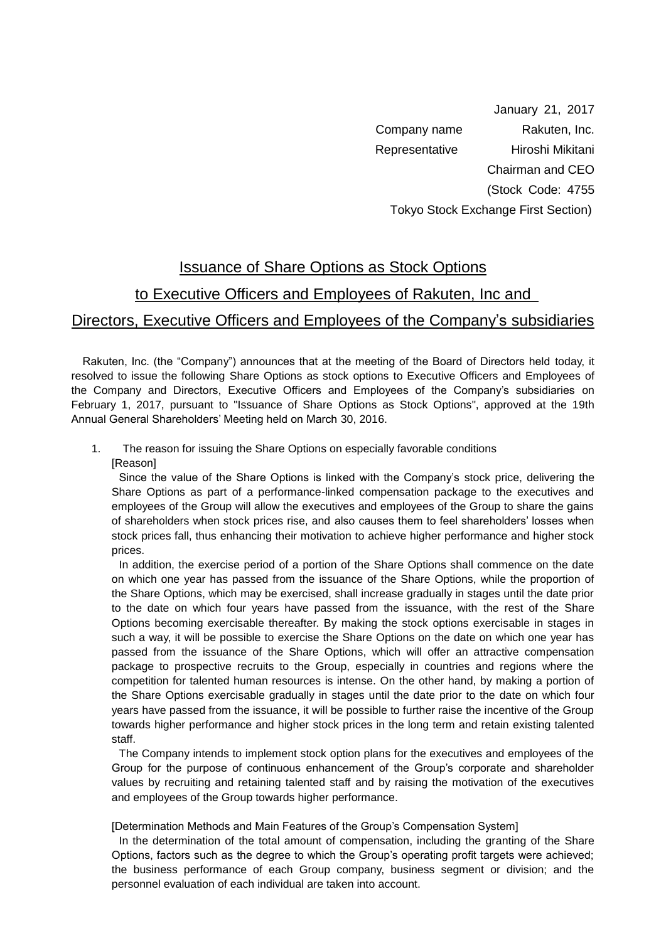January 21, 2017 Company name Rakuten, Inc. Representative Hiroshi Mikitani Chairman and CEO (Stock Code: 4755 Tokyo Stock Exchange First Section)

## Issuance of Share Options as Stock Options

## to Executive Officers and Employees of Rakuten, Inc and

## Directors, Executive Officers and Employees of the Company's subsidiaries

 Rakuten, Inc. (the "Company") announces that at the meeting of the Board of Directors held today, it resolved to issue the following Share Options as stock options to Executive Officers and Employees of the Company and Directors, Executive Officers and Employees of the Company's subsidiaries on February 1, 2017, pursuant to "Issuance of Share Options as Stock Options", approved at the 19th Annual General Shareholders' Meeting held on March 30, 2016.

1. The reason for issuing the Share Options on especially favorable conditions [Reason]

Since the value of the Share Options is linked with the Company's stock price, delivering the Share Options as part of a performance-linked compensation package to the executives and employees of the Group will allow the executives and employees of the Group to share the gains of shareholders when stock prices rise, and also causes them to feel shareholders' losses when stock prices fall, thus enhancing their motivation to achieve higher performance and higher stock prices.

In addition, the exercise period of a portion of the Share Options shall commence on the date on which one year has passed from the issuance of the Share Options, while the proportion of the Share Options, which may be exercised, shall increase gradually in stages until the date prior to the date on which four years have passed from the issuance, with the rest of the Share Options becoming exercisable thereafter. By making the stock options exercisable in stages in such a way, it will be possible to exercise the Share Options on the date on which one year has passed from the issuance of the Share Options, which will offer an attractive compensation package to prospective recruits to the Group, especially in countries and regions where the competition for talented human resources is intense. On the other hand, by making a portion of the Share Options exercisable gradually in stages until the date prior to the date on which four years have passed from the issuance, it will be possible to further raise the incentive of the Group towards higher performance and higher stock prices in the long term and retain existing talented staff.

The Company intends to implement stock option plans for the executives and employees of the Group for the purpose of continuous enhancement of the Group's corporate and shareholder values by recruiting and retaining talented staff and by raising the motivation of the executives and employees of the Group towards higher performance.

[Determination Methods and Main Features of the Group's Compensation System]

In the determination of the total amount of compensation, including the granting of the Share Options, factors such as the degree to which the Group's operating profit targets were achieved; the business performance of each Group company, business segment or division; and the personnel evaluation of each individual are taken into account.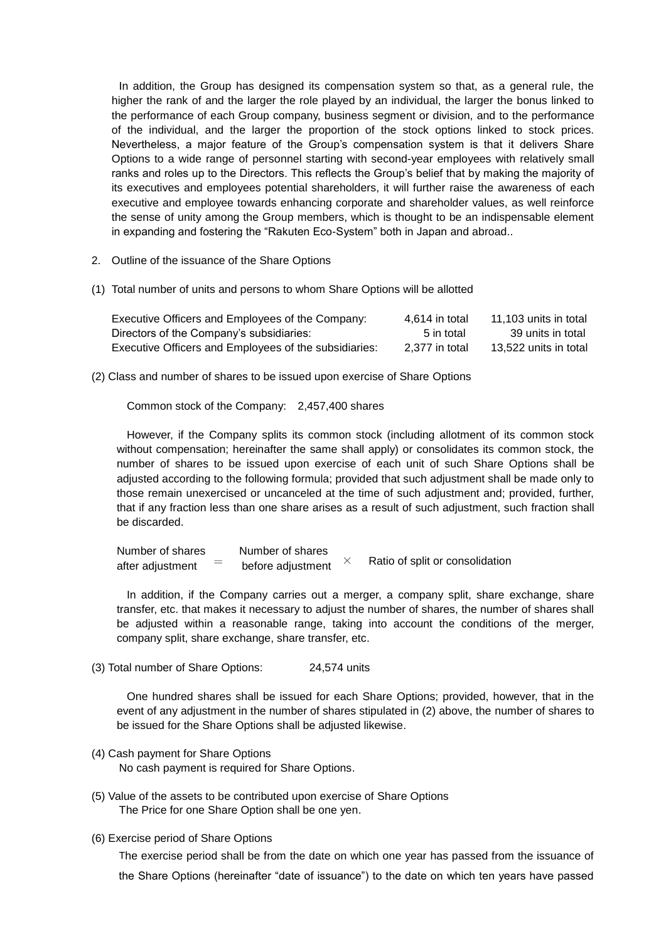In addition, the Group has designed its compensation system so that, as a general rule, the higher the rank of and the larger the role played by an individual, the larger the bonus linked to the performance of each Group company, business segment or division, and to the performance of the individual, and the larger the proportion of the stock options linked to stock prices. Nevertheless, a major feature of the Group's compensation system is that it delivers Share Options to a wide range of personnel starting with second-year employees with relatively small ranks and roles up to the Directors. This reflects the Group's belief that by making the majority of its executives and employees potential shareholders, it will further raise the awareness of each executive and employee towards enhancing corporate and shareholder values, as well reinforce the sense of unity among the Group members, which is thought to be an indispensable element in expanding and fostering the "Rakuten Eco-System" both in Japan and abroad..

- 2. Outline of the issuance of the Share Options
- (1) Total number of units and persons to whom Share Options will be allotted

| Executive Officers and Employees of the Company:      | 4.614 in total | 11.103 units in total |
|-------------------------------------------------------|----------------|-----------------------|
| Directors of the Company's subsidiaries:              | 5 in total     | 39 units in total     |
| Executive Officers and Employees of the subsidiaries: | 2.377 in total | 13.522 units in total |

(2) Class and number of shares to be issued upon exercise of Share Options

Common stock of the Company: 2,457,400 shares

However, if the Company splits its common stock (including allotment of its common stock without compensation; hereinafter the same shall apply) or consolidates its common stock, the number of shares to be issued upon exercise of each unit of such Share Options shall be adjusted according to the following formula; provided that such adjustment shall be made only to those remain unexercised or uncanceled at the time of such adjustment and; provided, further, that if any fraction less than one share arises as a result of such adjustment, such fraction shall be discarded.

Number of shares Number of shares after adjustment  $\overline{\phantom{a}}$  before adjustment  $\times$  Ratio of split or consolidation

In addition, if the Company carries out a merger, a company split, share exchange, share transfer, etc. that makes it necessary to adjust the number of shares, the number of shares shall be adjusted within a reasonable range, taking into account the conditions of the merger, company split, share exchange, share transfer, etc.

(3) Total number of Share Options: 24,574 units

One hundred shares shall be issued for each Share Options; provided, however, that in the event of any adjustment in the number of shares stipulated in (2) above, the number of shares to be issued for the Share Options shall be adjusted likewise.

- (4) Cash payment for Share Options No cash payment is required for Share Options.
- (5) Value of the assets to be contributed upon exercise of Share Options The Price for one Share Option shall be one yen.
- (6) Exercise period of Share Options

The exercise period shall be from the date on which one year has passed from the issuance of the Share Options (hereinafter "date of issuance") to the date on which ten years have passed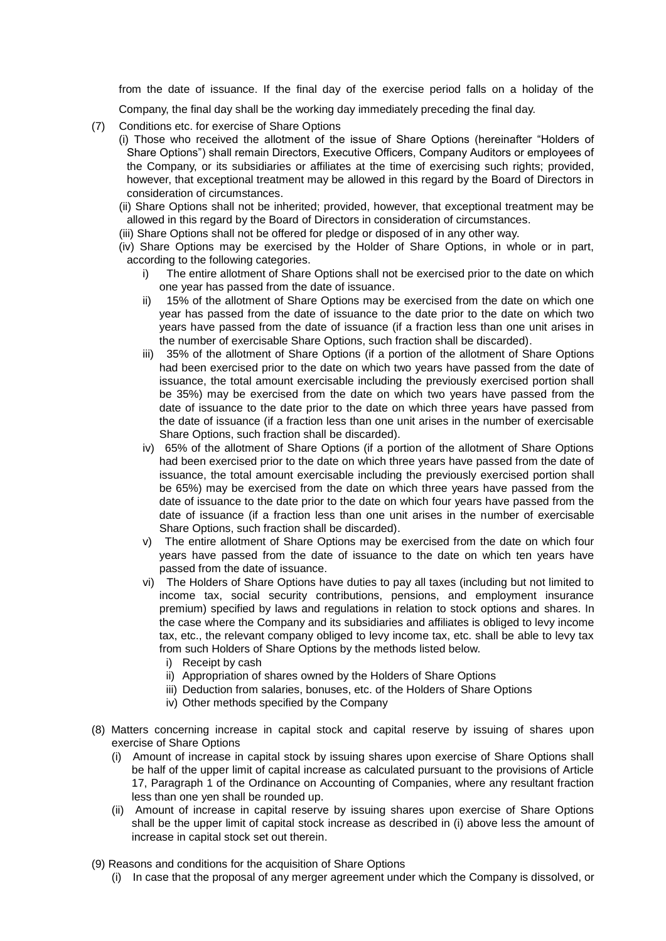from the date of issuance. If the final day of the exercise period falls on a holiday of the

Company, the final day shall be the working day immediately preceding the final day.

- (7) Conditions etc. for exercise of Share Options
	- (i) Those who received the allotment of the issue of Share Options (hereinafter "Holders of Share Options") shall remain Directors, Executive Officers, Company Auditors or employees of the Company, or its subsidiaries or affiliates at the time of exercising such rights; provided, however, that exceptional treatment may be allowed in this regard by the Board of Directors in consideration of circumstances.
	- (ii) Share Options shall not be inherited; provided, however, that exceptional treatment may be allowed in this regard by the Board of Directors in consideration of circumstances.
	- (iii) Share Options shall not be offered for pledge or disposed of in any other way.
	- (iv) Share Options may be exercised by the Holder of Share Options, in whole or in part, according to the following categories.
		- i) The entire allotment of Share Options shall not be exercised prior to the date on which one year has passed from the date of issuance.
		- ii) 15% of the allotment of Share Options may be exercised from the date on which one year has passed from the date of issuance to the date prior to the date on which two years have passed from the date of issuance (if a fraction less than one unit arises in the number of exercisable Share Options, such fraction shall be discarded).
		- iii) 35% of the allotment of Share Options (if a portion of the allotment of Share Options had been exercised prior to the date on which two years have passed from the date of issuance, the total amount exercisable including the previously exercised portion shall be 35%) may be exercised from the date on which two years have passed from the date of issuance to the date prior to the date on which three years have passed from the date of issuance (if a fraction less than one unit arises in the number of exercisable Share Options, such fraction shall be discarded).
		- iv) 65% of the allotment of Share Options (if a portion of the allotment of Share Options had been exercised prior to the date on which three years have passed from the date of issuance, the total amount exercisable including the previously exercised portion shall be 65%) may be exercised from the date on which three years have passed from the date of issuance to the date prior to the date on which four years have passed from the date of issuance (if a fraction less than one unit arises in the number of exercisable Share Options, such fraction shall be discarded).
		- v) The entire allotment of Share Options may be exercised from the date on which four years have passed from the date of issuance to the date on which ten years have passed from the date of issuance.
		- vi) The Holders of Share Options have duties to pay all taxes (including but not limited to income tax, social security contributions, pensions, and employment insurance premium) specified by laws and regulations in relation to stock options and shares. In the case where the Company and its subsidiaries and affiliates is obliged to levy income tax, etc., the relevant company obliged to levy income tax, etc. shall be able to levy tax from such Holders of Share Options by the methods listed below.
			- i) Receipt by cash
			- ii) Appropriation of shares owned by the Holders of Share Options
			- iii) Deduction from salaries, bonuses, etc. of the Holders of Share Options
			- iv) Other methods specified by the Company
- (8) Matters concerning increase in capital stock and capital reserve by issuing of shares upon exercise of Share Options
	- (i) Amount of increase in capital stock by issuing shares upon exercise of Share Options shall be half of the upper limit of capital increase as calculated pursuant to the provisions of Article 17, Paragraph 1 of the Ordinance on Accounting of Companies, where any resultant fraction less than one yen shall be rounded up.
	- (ii) Amount of increase in capital reserve by issuing shares upon exercise of Share Options shall be the upper limit of capital stock increase as described in (i) above less the amount of increase in capital stock set out therein.
- (9) Reasons and conditions for the acquisition of Share Options
	- (i) In case that the proposal of any merger agreement under which the Company is dissolved, or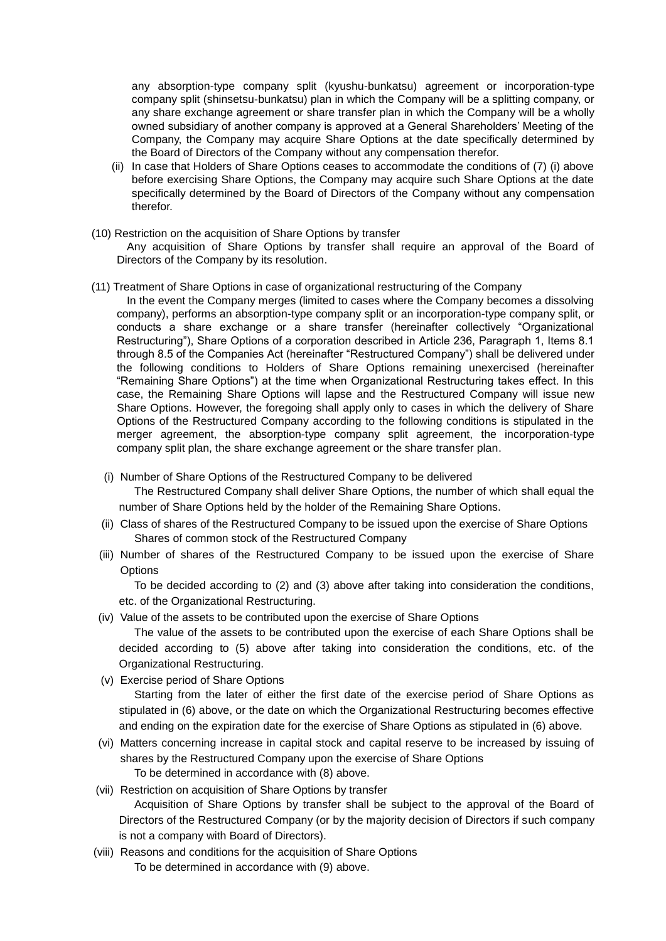any absorption-type company split (kyushu-bunkatsu) agreement or incorporation-type company split (shinsetsu-bunkatsu) plan in which the Company will be a splitting company, or any share exchange agreement or share transfer plan in which the Company will be a wholly owned subsidiary of another company is approved at a General Shareholders' Meeting of the Company, the Company may acquire Share Options at the date specifically determined by the Board of Directors of the Company without any compensation therefor.

- (ii) In case that Holders of Share Options ceases to accommodate the conditions of (7) (i) above before exercising Share Options, the Company may acquire such Share Options at the date specifically determined by the Board of Directors of the Company without any compensation therefor.
- (10) Restriction on the acquisition of Share Options by transfer

Any acquisition of Share Options by transfer shall require an approval of the Board of Directors of the Company by its resolution.

- (11) Treatment of Share Options in case of organizational restructuring of the Company
	- In the event the Company merges (limited to cases where the Company becomes a dissolving company), performs an absorption-type company split or an incorporation-type company split, or conducts a share exchange or a share transfer (hereinafter collectively "Organizational Restructuring"), Share Options of a corporation described in Article 236, Paragraph 1, Items 8.1 through 8.5 of the Companies Act (hereinafter "Restructured Company") shall be delivered under the following conditions to Holders of Share Options remaining unexercised (hereinafter "Remaining Share Options") at the time when Organizational Restructuring takes effect. In this case, the Remaining Share Options will lapse and the Restructured Company will issue new Share Options. However, the foregoing shall apply only to cases in which the delivery of Share Options of the Restructured Company according to the following conditions is stipulated in the merger agreement, the absorption-type company split agreement, the incorporation-type company split plan, the share exchange agreement or the share transfer plan.
	- (i) Number of Share Options of the Restructured Company to be delivered

The Restructured Company shall deliver Share Options, the number of which shall equal the number of Share Options held by the holder of the Remaining Share Options.

- (ii) Class of shares of the Restructured Company to be issued upon the exercise of Share Options Shares of common stock of the Restructured Company
- (iii) Number of shares of the Restructured Company to be issued upon the exercise of Share **Options**

To be decided according to (2) and (3) above after taking into consideration the conditions, etc. of the Organizational Restructuring.

(iv) Value of the assets to be contributed upon the exercise of Share Options

The value of the assets to be contributed upon the exercise of each Share Options shall be decided according to (5) above after taking into consideration the conditions, etc. of the Organizational Restructuring.

(v) Exercise period of Share Options

Starting from the later of either the first date of the exercise period of Share Options as stipulated in (6) above, or the date on which the Organizational Restructuring becomes effective and ending on the expiration date for the exercise of Share Options as stipulated in (6) above.

- (vi) Matters concerning increase in capital stock and capital reserve to be increased by issuing of shares by the Restructured Company upon the exercise of Share Options To be determined in accordance with (8) above.
- (vii) Restriction on acquisition of Share Options by transfer Acquisition of Share Options by transfer shall be subject to the approval of the Board of Directors of the Restructured Company (or by the majority decision of Directors if such company is not a company with Board of Directors).
- (viii) Reasons and conditions for the acquisition of Share Options To be determined in accordance with (9) above.